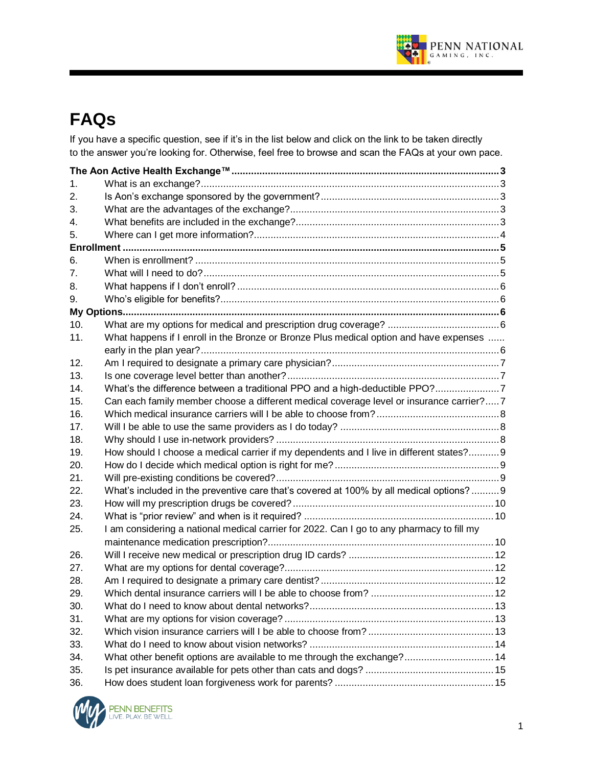

# **FAQs**

If you have a specific question, see if it's in the list below and click on the link to be taken directly to the answer you're looking for. Otherwise, feel free to browse and scan the FAQs at your own pace.

| 1.                                                                                               |  |
|--------------------------------------------------------------------------------------------------|--|
| 2.                                                                                               |  |
| 3.                                                                                               |  |
| 4.                                                                                               |  |
| 5.                                                                                               |  |
|                                                                                                  |  |
| 6.                                                                                               |  |
| 7.                                                                                               |  |
| 8.                                                                                               |  |
| 9.                                                                                               |  |
|                                                                                                  |  |
| 10.                                                                                              |  |
| What happens if I enroll in the Bronze or Bronze Plus medical option and have expenses<br>11.    |  |
|                                                                                                  |  |
| 12.                                                                                              |  |
| 13.                                                                                              |  |
| What's the difference between a traditional PPO and a high-deductible PPO?7<br>14.               |  |
| Can each family member choose a different medical coverage level or insurance carrier?7<br>15.   |  |
| 16.                                                                                              |  |
| 17.                                                                                              |  |
| 18.                                                                                              |  |
| How should I choose a medical carrier if my dependents and I live in different states? 9<br>19.  |  |
| 20.                                                                                              |  |
| 21.                                                                                              |  |
| What's included in the preventive care that's covered at 100% by all medical options?  9<br>22.  |  |
| 23.                                                                                              |  |
| 24.                                                                                              |  |
| I am considering a national medical carrier for 2022. Can I go to any pharmacy to fill my<br>25. |  |
| 26.                                                                                              |  |
| 27.                                                                                              |  |
| 28.                                                                                              |  |
| 29.                                                                                              |  |
| 30.                                                                                              |  |
| 31.                                                                                              |  |
| 32.                                                                                              |  |
| 33.                                                                                              |  |
| What other benefit options are available to me through the exchange? 14<br>34.                   |  |
| 35.                                                                                              |  |
| 36.                                                                                              |  |

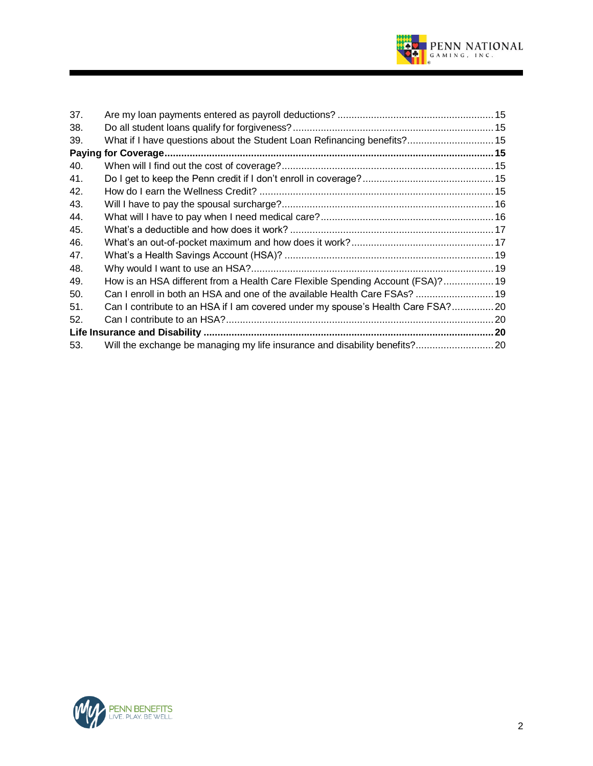

| 37. |                                                                                 |  |
|-----|---------------------------------------------------------------------------------|--|
| 38. |                                                                                 |  |
| 39. | What if I have questions about the Student Loan Refinancing benefits? 15        |  |
|     |                                                                                 |  |
| 40. |                                                                                 |  |
| 41. |                                                                                 |  |
| 42. |                                                                                 |  |
| 43. |                                                                                 |  |
| 44. |                                                                                 |  |
| 45. |                                                                                 |  |
| 46. |                                                                                 |  |
| 47. |                                                                                 |  |
| 48. |                                                                                 |  |
| 49. | How is an HSA different from a Health Care Flexible Spending Account (FSA)? 19  |  |
| 50. | Can I enroll in both an HSA and one of the available Health Care FSAs?  19      |  |
| 51. | Can I contribute to an HSA if I am covered under my spouse's Health Care FSA?20 |  |
| 52. |                                                                                 |  |
|     |                                                                                 |  |
| 53. | Will the exchange be managing my life insurance and disability benefits? 20     |  |

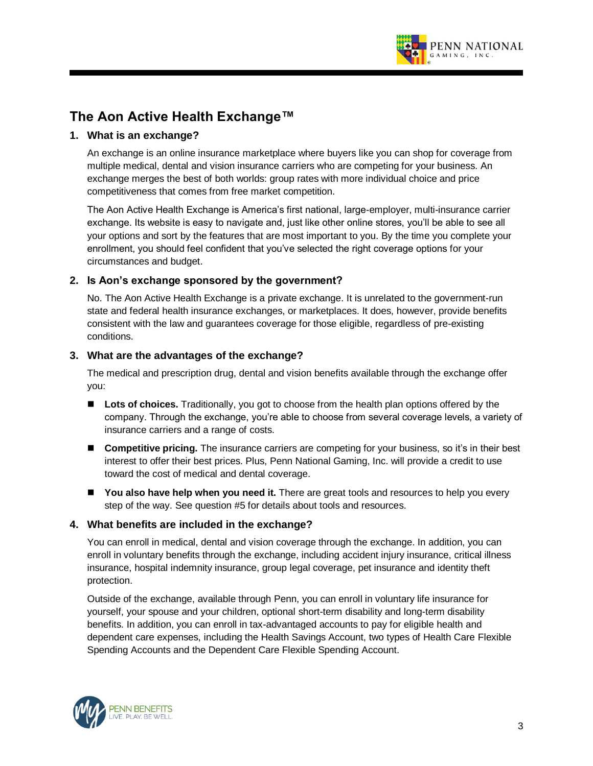

# **The Aon Active Health Exchange™**

# **1. What is an exchange?**

An exchange is an online insurance marketplace where buyers like you can shop for coverage from multiple medical, dental and vision insurance carriers who are competing for your business. An exchange merges the best of both worlds: group rates with more individual choice and price competitiveness that comes from free market competition.

The Aon Active Health Exchange is America's first national, large-employer, multi-insurance carrier exchange. Its website is easy to navigate and, just like other online stores, you'll be able to see all your options and sort by the features that are most important to you. By the time you complete your enrollment, you should feel confident that you've selected the right coverage options for your circumstances and budget.

# **2. Is Aon's exchange sponsored by the government?**

No. The Aon Active Health Exchange is a private exchange. It is unrelated to the government-run state and federal health insurance exchanges, or marketplaces. It does, however, provide benefits consistent with the law and guarantees coverage for those eligible, regardless of pre-existing conditions.

# **3. What are the advantages of the exchange?**

The medical and prescription drug, dental and vision benefits available through the exchange offer you:

- Lots of choices. Traditionally, you got to choose from the health plan options offered by the company. Through the exchange, you're able to choose from several coverage levels, a variety of insurance carriers and a range of costs.
- **Competitive pricing.** The insurance carriers are competing for your business, so it's in their best interest to offer their best prices. Plus, Penn National Gaming, Inc. will provide a credit to use toward the cost of medical and dental coverage.
- You also have help when you need it. There are great tools and resources to help you every step of the way. See question #5 for details about tools and resources.

#### **4. What benefits are included in the exchange?**

You can enroll in medical, dental and vision coverage through the exchange. In addition, you can enroll in voluntary benefits through the exchange, including accident injury insurance, critical illness insurance, hospital indemnity insurance, group legal coverage, pet insurance and identity theft protection.

Outside of the exchange, available through Penn, you can enroll in voluntary life insurance for yourself, your spouse and your children, optional short-term disability and long-term disability benefits. In addition, you can enroll in tax-advantaged accounts to pay for eligible health and dependent care expenses, including the Health Savings Account, two types of Health Care Flexible Spending Accounts and the Dependent Care Flexible Spending Account.

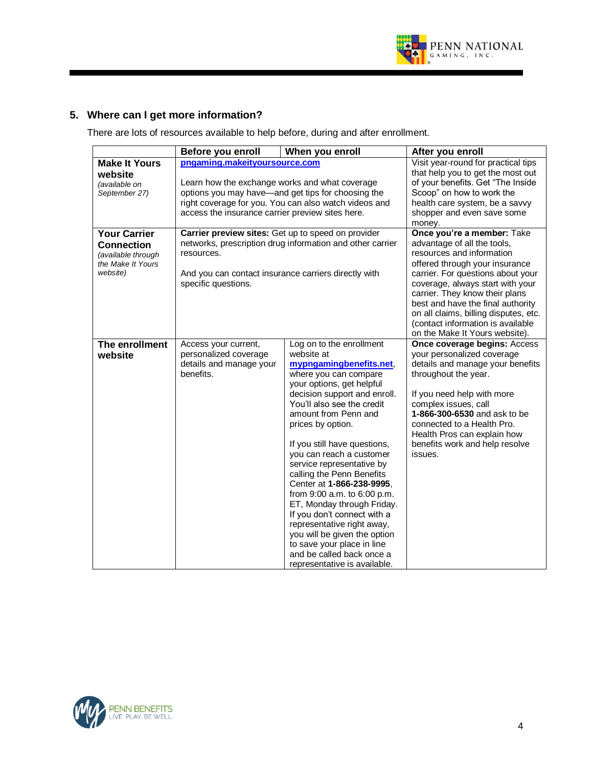

# **5. Where can I get more information?**

There are lots of resources available to help before, during and after enrollment.

|                                                                                                 | Before you enroll                                                                                                                                                                                                                                  | When you enroll                                                                                                                                                                                                                                                                                                                                                                                                                                                                                                                                                                                                                            | After you enroll                                                                                                                                                                                                                                                                                                                                                                         |
|-------------------------------------------------------------------------------------------------|----------------------------------------------------------------------------------------------------------------------------------------------------------------------------------------------------------------------------------------------------|--------------------------------------------------------------------------------------------------------------------------------------------------------------------------------------------------------------------------------------------------------------------------------------------------------------------------------------------------------------------------------------------------------------------------------------------------------------------------------------------------------------------------------------------------------------------------------------------------------------------------------------------|------------------------------------------------------------------------------------------------------------------------------------------------------------------------------------------------------------------------------------------------------------------------------------------------------------------------------------------------------------------------------------------|
| <b>Make It Yours</b><br>website<br>(available on<br>September 27)                               | pngaming.makeityoursource.com<br>Learn how the exchange works and what coverage<br>options you may have—and get tips for choosing the<br>right coverage for you. You can also watch videos and<br>access the insurance carrier preview sites here. |                                                                                                                                                                                                                                                                                                                                                                                                                                                                                                                                                                                                                                            | Visit year-round for practical tips<br>that help you to get the most out<br>of your benefits. Get "The Inside<br>Scoop" on how to work the<br>health care system, be a savvy<br>shopper and even save some<br>money.                                                                                                                                                                     |
| <b>Your Carrier</b><br><b>Connection</b><br>(available through<br>the Make It Yours<br>website) | Carrier preview sites: Get up to speed on provider<br>resources.<br>And you can contact insurance carriers directly with<br>specific questions.                                                                                                    | networks, prescription drug information and other carrier                                                                                                                                                                                                                                                                                                                                                                                                                                                                                                                                                                                  | Once you're a member: Take<br>advantage of all the tools,<br>resources and information<br>offered through your insurance<br>carrier. For questions about your<br>coverage, always start with your<br>carrier. They know their plans<br>best and have the final authority<br>on all claims, billing disputes, etc.<br>(contact information is available<br>on the Make It Yours website). |
| The enrollment<br>website                                                                       | Access your current,<br>personalized coverage<br>details and manage your<br>benefits.                                                                                                                                                              | Log on to the enrollment<br>website at<br>mypngamingbenefits.net,<br>where you can compare<br>your options, get helpful<br>decision support and enroll.<br>You'll also see the credit<br>amount from Penn and<br>prices by option.<br>If you still have questions,<br>you can reach a customer<br>service representative by<br>calling the Penn Benefits<br>Center at 1-866-238-9995,<br>from 9:00 a.m. to 6:00 p.m.<br>ET, Monday through Friday.<br>If you don't connect with a<br>representative right away,<br>you will be given the option<br>to save your place in line<br>and be called back once a<br>representative is available. | <b>Once coverage begins: Access</b><br>your personalized coverage<br>details and manage your benefits<br>throughout the year.<br>If you need help with more<br>complex issues, call<br>1-866-300-6530 and ask to be<br>connected to a Health Pro.<br>Health Pros can explain how<br>benefits work and help resolve<br>issues.                                                            |

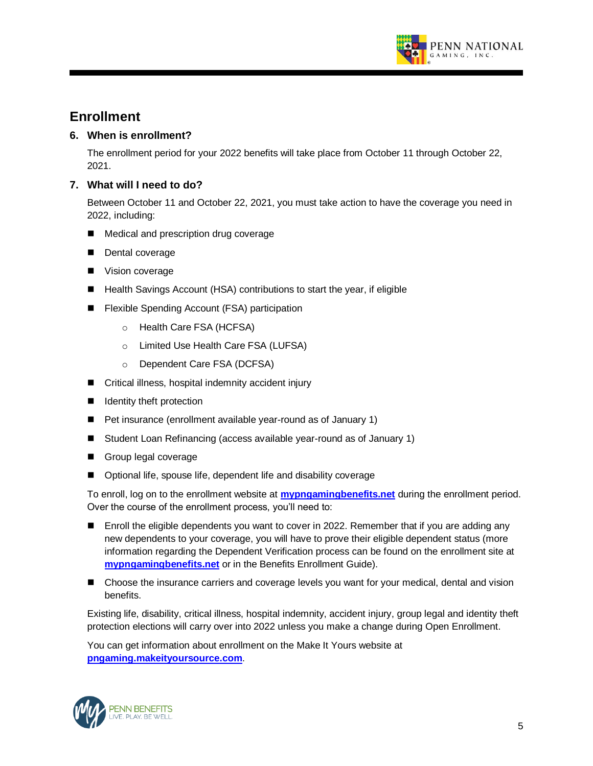

# **Enrollment**

# **6. When is enrollment?**

The enrollment period for your 2022 benefits will take place from October 11 through October 22, 2021.

# **7. What will I need to do?**

Between October 11 and October 22, 2021, you must take action to have the coverage you need in 2022, including:

- Medical and prescription drug coverage
- Dental coverage
- Vision coverage
- Health Savings Account (HSA) contributions to start the year, if eligible
- Flexible Spending Account (FSA) participation
	- o Health Care FSA (HCFSA)
	- o Limited Use Health Care FSA (LUFSA)
	- o Dependent Care FSA (DCFSA)
- Critical illness, hospital indemnity accident injury
- Identity theft protection
- Pet insurance (enrollment available year-round as of January 1)
- Student Loan Refinancing (access available year-round as of January 1)
- Group legal coverage
- Optional life, spouse life, dependent life and disability coverage

To enroll, log on to the enrollment website at **mypngamingbenefits.net** during the enrollment period. Over the course of the enrollment process, you'll need to:

- Enroll the eligible dependents you want to cover in 2022. Remember that if you are adding any new dependents to your coverage, you will have to prove their eligible dependent status (more information regarding the Dependent Verification process can be found on the enrollment site at **mypngamingbenefits.net** or in the Benefits Enrollment Guide).
- Choose the insurance carriers and coverage levels you want for your medical, dental and vision benefits.

Existing life, disability, critical illness, hospital indemnity, accident injury, group legal and identity theft protection elections will carry over into 2022 unless you make a change during Open Enrollment.

You can get information about enrollment on the Make It Yours website at **pngaming.makeityoursource.com**.

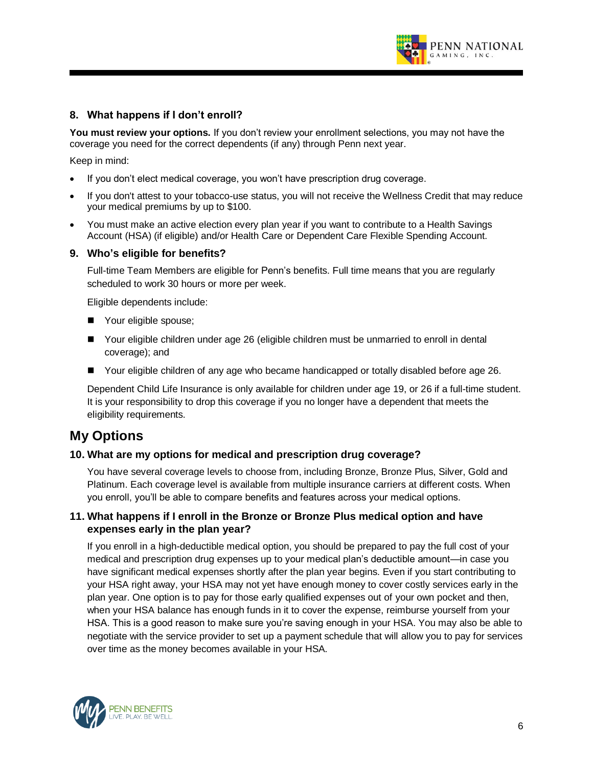

# **8. What happens if I don't enroll?**

**You must review your options.** If you don't review your enrollment selections, you may not have the coverage you need for the correct dependents (if any) through Penn next year.

Keep in mind:

- If you don't elect medical coverage, you won't have prescription drug coverage.
- If you don't attest to your tobacco-use status, you will not receive the Wellness Credit that may reduce your medical premiums by up to \$100.
- You must make an active election every plan year if you want to contribute to a Health Savings Account (HSA) (if eligible) and/or Health Care or Dependent Care Flexible Spending Account.

#### **9. Who's eligible for benefits?**

Full-time Team Members are eligible for Penn's benefits. Full time means that you are regularly scheduled to work 30 hours or more per week.

Eligible dependents include:

- Your eligible spouse;
- Your eligible children under age 26 (eligible children must be unmarried to enroll in dental coverage); and
- Your eligible children of any age who became handicapped or totally disabled before age 26.

Dependent Child Life Insurance is only available for children under age 19, or 26 if a full-time student. It is your responsibility to drop this coverage if you no longer have a dependent that meets the eligibility requirements.

# **My Options**

#### **10. What are my options for medical and prescription drug coverage?**

You have several coverage levels to choose from, including Bronze, Bronze Plus, Silver, Gold and Platinum. Each coverage level is available from multiple insurance carriers at different costs. When you enroll, you'll be able to compare benefits and features across your medical options.

# **11. What happens if I enroll in the Bronze or Bronze Plus medical option and have expenses early in the plan year?**

If you enroll in a high-deductible medical option, you should be prepared to pay the full cost of your medical and prescription drug expenses up to your medical plan's deductible amount—in case you have significant medical expenses shortly after the plan year begins. Even if you start contributing to your HSA right away, your HSA may not yet have enough money to cover costly services early in the plan year. One option is to pay for those early qualified expenses out of your own pocket and then, when your HSA balance has enough funds in it to cover the expense, reimburse yourself from your HSA. This is a good reason to make sure you're saving enough in your HSA. You may also be able to negotiate with the service provider to set up a payment schedule that will allow you to pay for services over time as the money becomes available in your HSA.

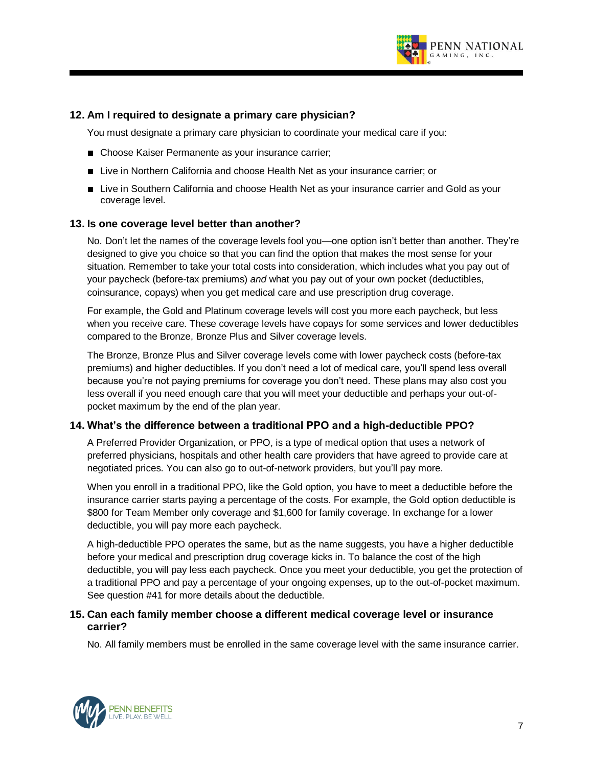

# **12. Am I required to designate a primary care physician?**

You must designate a primary care physician to coordinate your medical care if you:

- Choose Kaiser Permanente as your insurance carrier;
- Live in Northern California and choose Health Net as your insurance carrier; or
- Live in Southern California and choose Health Net as your insurance carrier and Gold as your coverage level.

#### **13. Is one coverage level better than another?**

No. Don't let the names of the coverage levels fool you—one option isn't better than another. They're designed to give you choice so that you can find the option that makes the most sense for your situation. Remember to take your total costs into consideration, which includes what you pay out of your paycheck (before-tax premiums) *and* what you pay out of your own pocket (deductibles, coinsurance, copays) when you get medical care and use prescription drug coverage.

For example, the Gold and Platinum coverage levels will cost you more each paycheck, but less when you receive care. These coverage levels have copays for some services and lower deductibles compared to the Bronze, Bronze Plus and Silver coverage levels.

The Bronze, Bronze Plus and Silver coverage levels come with lower paycheck costs (before-tax premiums) and higher deductibles. If you don't need a lot of medical care, you'll spend less overall because you're not paying premiums for coverage you don't need. These plans may also cost you less overall if you need enough care that you will meet your deductible and perhaps your out-ofpocket maximum by the end of the plan year.

#### **14. What's the difference between a traditional PPO and a high-deductible PPO?**

A Preferred Provider Organization, or PPO, is a type of medical option that uses a network of preferred physicians, hospitals and other health care providers that have agreed to provide care at negotiated prices. You can also go to out-of-network providers, but you'll pay more.

When you enroll in a traditional PPO, like the Gold option, you have to meet a deductible before the insurance carrier starts paying a percentage of the costs. For example, the Gold option deductible is \$800 for Team Member only coverage and \$1,600 for family coverage. In exchange for a lower deductible, you will pay more each paycheck.

A high-deductible PPO operates the same, but as the name suggests, you have a higher deductible before your medical and prescription drug coverage kicks in. To balance the cost of the high deductible, you will pay less each paycheck. Once you meet your deductible, you get the protection of a traditional PPO and pay a percentage of your ongoing expenses, up to the out-of-pocket maximum. See question #41 for more details about the deductible.

# **15. Can each family member choose a different medical coverage level or insurance carrier?**

No. All family members must be enrolled in the same coverage level with the same insurance carrier.

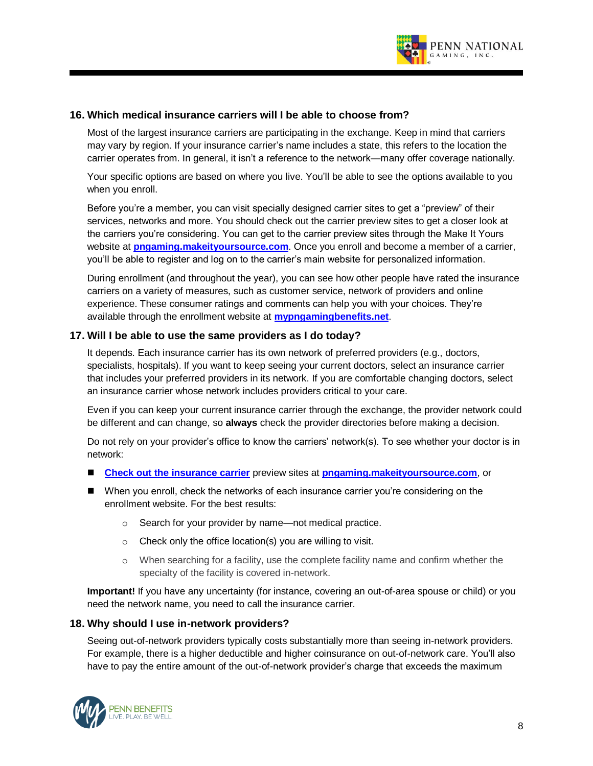

#### **16. Which medical insurance carriers will I be able to choose from?**

Most of the largest insurance carriers are participating in the exchange. Keep in mind that carriers may vary by region. If your insurance carrier's name includes a state, this refers to the location the carrier operates from. In general, it isn't a reference to the network—many offer coverage nationally.

Your specific options are based on where you live. You'll be able to see the options available to you when you enroll.

Before you're a member, you can visit specially designed carrier sites to get a "preview" of their services, networks and more. You should check out the carrier preview sites to get a closer look at the carriers you're considering. You can get to the carrier preview sites through the Make It Yours website at **pngaming.makeityoursource.com**. Once you enroll and become a member of a carrier, you'll be able to register and log on to the carrier's main website for personalized information.

During enrollment (and throughout the year), you can see how other people have rated the insurance carriers on a variety of measures, such as customer service, network of providers and online experience. These consumer ratings and comments can help you with your choices. They're available through the enrollment website at **mypngamingbenefits.net**.

#### **17. Will I be able to use the same providers as I do today?**

It depends. Each insurance carrier has its own network of preferred providers (e.g., doctors, specialists, hospitals). If you want to keep seeing your current doctors, select an insurance carrier that includes your preferred providers in its network. If you are comfortable changing doctors, select an insurance carrier whose network includes providers critical to your care.

Even if you can keep your current insurance carrier through the exchange, the provider network could be different and can change, so **always** check the provider directories before making a decision.

Do not rely on your provider's office to know the carriers' network(s). To see whether your doctor is in network:

- Check out the insurance carrier preview sites at **pngaming.makeityoursource.com**, or
- When you enroll, check the networks of each insurance carrier you're considering on the enrollment website. For the best results:
	- o Search for your provider by name—not medical practice.
	- $\circ$  Check only the office location(s) you are willing to visit.
	- o When searching for a facility, use the complete facility name and confirm whether the specialty of the facility is covered in-network.

**Important!** If you have any uncertainty (for instance, covering an out-of-area spouse or child) or you need the network name, you need to call the insurance carrier.

#### **18. Why should I use in-network providers?**

Seeing out-of-network providers typically costs substantially more than seeing in-network providers. For example, there is a higher deductible and higher coinsurance on out-of-network care. You'll also have to pay the entire amount of the out-of-network provider's charge that exceeds the maximum

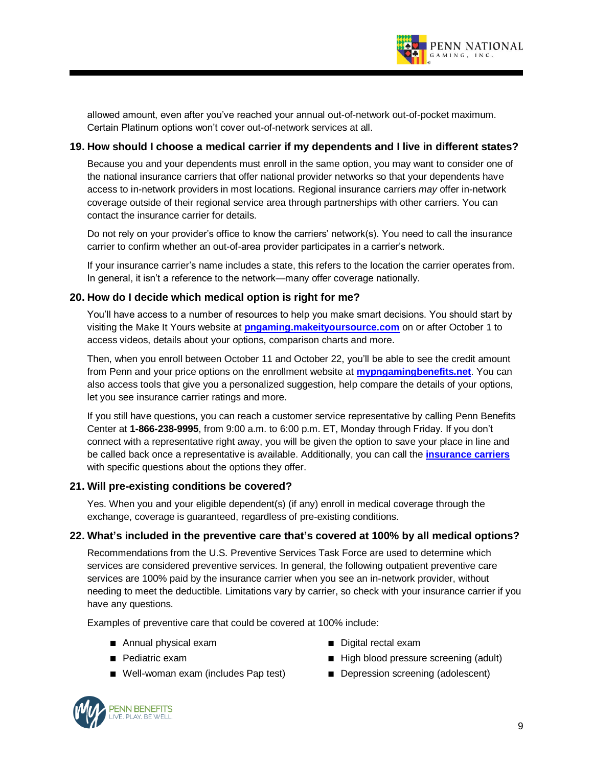

allowed amount, even after you've reached your annual out-of-network out-of-pocket maximum. Certain Platinum options won't cover out-of-network services at all.

# **19. How should I choose a medical carrier if my dependents and I live in different states?**

Because you and your dependents must enroll in the same option, you may want to consider one of the national insurance carriers that offer national provider networks so that your dependents have access to in-network providers in most locations. Regional insurance carriers *may* offer in-network coverage outside of their regional service area through partnerships with other carriers. You can contact the insurance carrier for details.

Do not rely on your provider's office to know the carriers' network(s). You need to call the insurance carrier to confirm whether an out-of-area provider participates in a carrier's network.

If your insurance carrier's name includes a state, this refers to the location the carrier operates from. In general, it isn't a reference to the network—many offer coverage nationally.

# **20. How do I decide which medical option is right for me?**

You'll have access to a number of resources to help you make smart decisions. You should start by visiting the Make It Yours website at **pngaming.makeityoursource.com** on or after October 1 to access videos, details about your options, comparison charts and more.

Then, when you enroll between October 11 and October 22, you'll be able to see the credit amount from Penn and your price options on the enrollment website at **mypngamingbenefits.net**. You can also access tools that give you a personalized suggestion, help compare the details of your options, let you see insurance carrier ratings and more.

If you still have questions, you can reach a customer service representative by calling Penn Benefits Center at **1-866-238-9995**, from 9:00 a.m. to 6:00 p.m. ET, Monday through Friday. If you don't connect with a representative right away, you will be given the option to save your place in line and be called back once a representative is available. Additionally, you can call the **insurance carriers** with specific questions about the options they offer.

#### **21. Will pre-existing conditions be covered?**

Yes. When you and your eligible dependent(s) (if any) enroll in medical coverage through the exchange, coverage is guaranteed, regardless of pre-existing conditions.

#### **22. What's included in the preventive care that's covered at 100% by all medical options?**

Recommendations from the U.S. Preventive Services Task Force are used to determine which services are considered preventive services. In general, the following outpatient preventive care services are 100% paid by the insurance carrier when you see an in-network provider, without needing to meet the deductible. Limitations vary by carrier, so check with your insurance carrier if you have any questions.

Examples of preventive care that could be covered at 100% include:

- Annual physical exam
- Pediatric exam
- Well-woman exam (includes Pap test)
- Digital rectal exam
- High blood pressure screening (adult)
- Depression screening (adolescent)

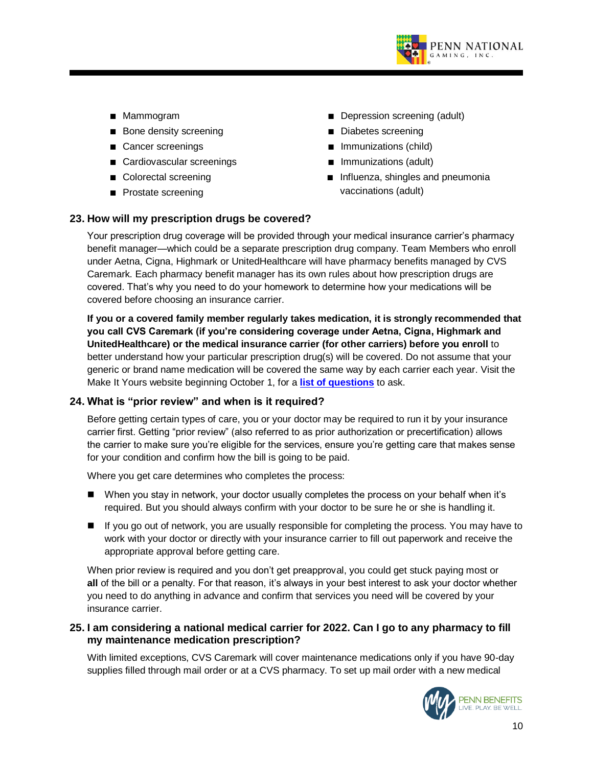

- Mammogram
- Bone density screening
- Cancer screenings
- Cardiovascular screenings
- Colorectal screening
- Prostate screening
- Depression screening (adult)
- Diabetes screening
- Immunizations (child)
- Immunizations (adult)
- Influenza, shingles and pneumonia vaccinations (adult)

# **23. How will my prescription drugs be covered?**

Your prescription drug coverage will be provided through your medical insurance carrier's pharmacy benefit manager—which could be a separate prescription drug company. Team Members who enroll under Aetna, Cigna, Highmark or UnitedHealthcare will have pharmacy benefits managed by CVS Caremark. Each pharmacy benefit manager has its own rules about how prescription drugs are covered. That's why you need to do your homework to determine how your medications will be covered before choosing an insurance carrier.

**If you or a covered family member regularly takes medication, it is strongly recommended that you call CVS Caremark (if you're considering coverage under Aetna, Cigna, Highmark and UnitedHealthcare) or the medical insurance carrier (for other carriers) before you enroll** to better understand how your particular prescription drug(s) will be covered. Do not assume that your generic or brand name medication will be covered the same way by each carrier each year. Visit the Make It Yours website beginning October 1, for a **list of questions** to ask.

# **24. What is "prior review" and when is it required?**

Before getting certain types of care, you or your doctor may be required to run it by your insurance carrier first. Getting "prior review" (also referred to as prior authorization or precertification) allows the carrier to make sure you're eligible for the services, ensure you're getting care that makes sense for your condition and confirm how the bill is going to be paid.

Where you get care determines who completes the process:

- When you stay in network, your doctor usually completes the process on your behalf when it's required. But you should always confirm with your doctor to be sure he or she is handling it.
- If you go out of network, you are usually responsible for completing the process. You may have to work with your doctor or directly with your insurance carrier to fill out paperwork and receive the appropriate approval before getting care.

When prior review is required and you don't get preapproval, you could get stuck paying most or **all** of the bill or a penalty. For that reason, it's always in your best interest to ask your doctor whether you need to do anything in advance and confirm that services you need will be covered by your insurance carrier.

# **25. I am considering a national medical carrier for 2022. Can I go to any pharmacy to fill my maintenance medication prescription?**

With limited exceptions, CVS Caremark will cover maintenance medications only if you have 90-day supplies filled through mail order or at a CVS pharmacy. To set up mail order with a new medical

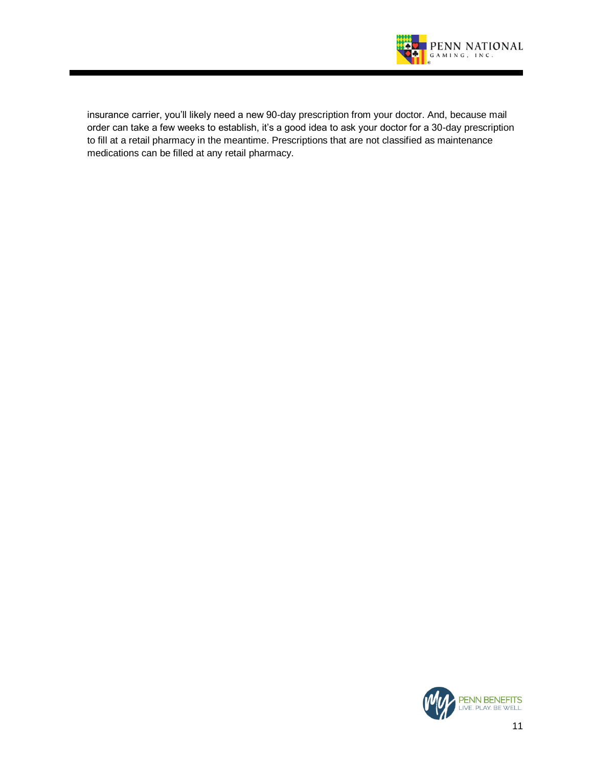

insurance carrier, you'll likely need a new 90-day prescription from your doctor. And, because mail order can take a few weeks to establish, it's a good idea to ask your doctor for a 30-day prescription to fill at a retail pharmacy in the meantime. Prescriptions that are not classified as maintenance medications can be filled at any retail pharmacy.

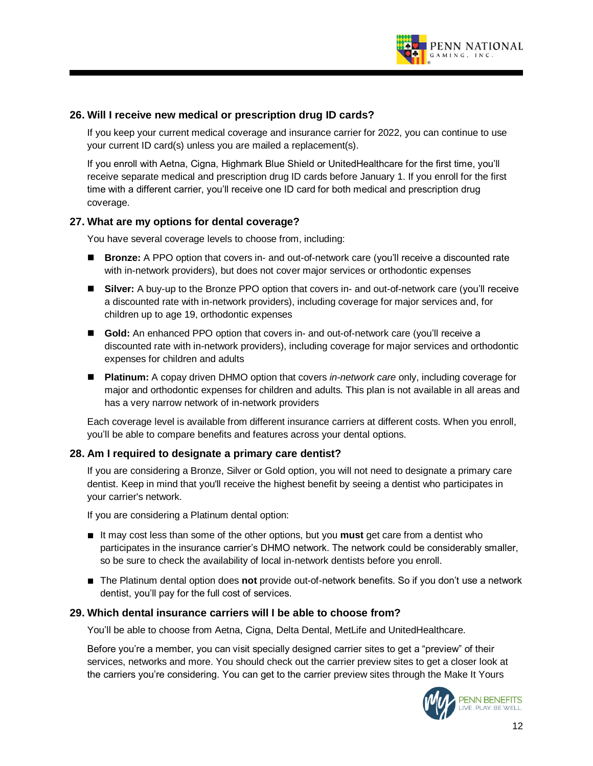

# **26. Will I receive new medical or prescription drug ID cards?**

If you keep your current medical coverage and insurance carrier for 2022, you can continue to use your current ID card(s) unless you are mailed a replacement(s).

If you enroll with Aetna, Cigna, Highmark Blue Shield or UnitedHealthcare for the first time, you'll receive separate medical and prescription drug ID cards before January 1. If you enroll for the first time with a different carrier, you'll receive one ID card for both medical and prescription drug coverage.

# **27. What are my options for dental coverage?**

You have several coverage levels to choose from, including:

- **Bronze:** A PPO option that covers in- and out-of-network care (you'll receive a discounted rate with in-network providers), but does not cover major services or orthodontic expenses
- Silver: A buy-up to the Bronze PPO option that covers in- and out-of-network care (you'll receive a discounted rate with in-network providers), including coverage for major services and, for children up to age 19, orthodontic expenses
- **Gold:** An enhanced PPO option that covers in- and out-of-network care (you'll receive a discounted rate with in-network providers), including coverage for major services and orthodontic expenses for children and adults
- **Platinum:** A copay driven DHMO option that covers *in-network care* only, including coverage for major and orthodontic expenses for children and adults. This plan is not available in all areas and has a very narrow network of in-network providers

Each coverage level is available from different insurance carriers at different costs. When you enroll, you'll be able to compare benefits and features across your dental options.

#### **28. Am I required to designate a primary care dentist?**

If you are considering a Bronze, Silver or Gold option, you will not need to designate a primary care dentist. Keep in mind that you'll receive the highest benefit by seeing a dentist who participates in your carrier's network.

If you are considering a Platinum dental option:

- It may cost less than some of the other options, but you **must** get care from a dentist who participates in the insurance carrier's DHMO network. The network could be considerably smaller, so be sure to check the availability of local in-network dentists before you enroll.
- The Platinum dental option does **not** provide out-of-network benefits. So if you don't use a network dentist, you'll pay for the full cost of services.

#### **29. Which dental insurance carriers will I be able to choose from?**

You'll be able to choose from Aetna, Cigna, Delta Dental, MetLife and UnitedHealthcare.

Before you're a member, you can visit specially designed carrier sites to get a "preview" of their services, networks and more. You should check out the carrier preview sites to get a closer look at the carriers you're considering. You can get to the carrier preview sites through the Make It Yours

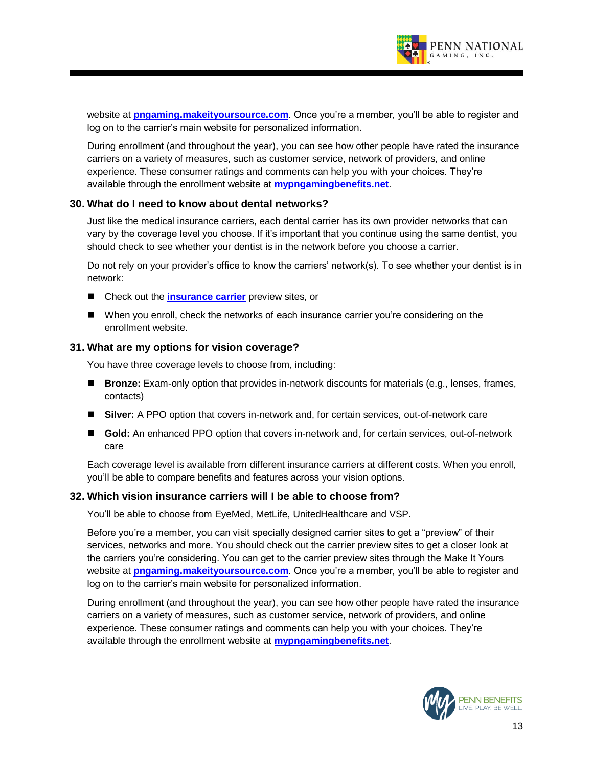

website at **pngaming.makeityoursource.com**. Once you're a member, you'll be able to register and log on to the carrier's main website for personalized information.

During enrollment (and throughout the year), you can see how other people have rated the insurance carriers on a variety of measures, such as customer service, network of providers, and online experience. These consumer ratings and comments can help you with your choices. They're available through the enrollment website at **mypngamingbenefits.net**.

#### **30. What do I need to know about dental networks?**

Just like the medical insurance carriers, each dental carrier has its own provider networks that can vary by the coverage level you choose. If it's important that you continue using the same dentist, you should check to see whether your dentist is in the network before you choose a carrier.

Do not rely on your provider's office to know the carriers' network(s). To see whether your dentist is in network:

- Check out the **insurance carrier** preview sites, or
- When you enroll, check the networks of each insurance carrier you're considering on the enrollment website.

#### **31. What are my options for vision coverage?**

You have three coverage levels to choose from, including:

- **Bronze:** Exam-only option that provides in-network discounts for materials (e.g., lenses, frames, contacts)
- Silver: A PPO option that covers in-network and, for certain services, out-of-network care
- Gold: An enhanced PPO option that covers in-network and, for certain services, out-of-network care

Each coverage level is available from different insurance carriers at different costs. When you enroll, you'll be able to compare benefits and features across your vision options.

#### **32. Which vision insurance carriers will I be able to choose from?**

You'll be able to choose from EyeMed, MetLife, UnitedHealthcare and VSP.

Before you're a member, you can visit specially designed carrier sites to get a "preview" of their services, networks and more. You should check out the carrier preview sites to get a closer look at the carriers you're considering. You can get to the carrier preview sites through the Make It Yours website at **pngaming.makeityoursource.com**. Once you're a member, you'll be able to register and log on to the carrier's main website for personalized information.

During enrollment (and throughout the year), you can see how other people have rated the insurance carriers on a variety of measures, such as customer service, network of providers, and online experience. These consumer ratings and comments can help you with your choices. They're available through the enrollment website at **mypngamingbenefits.net**.

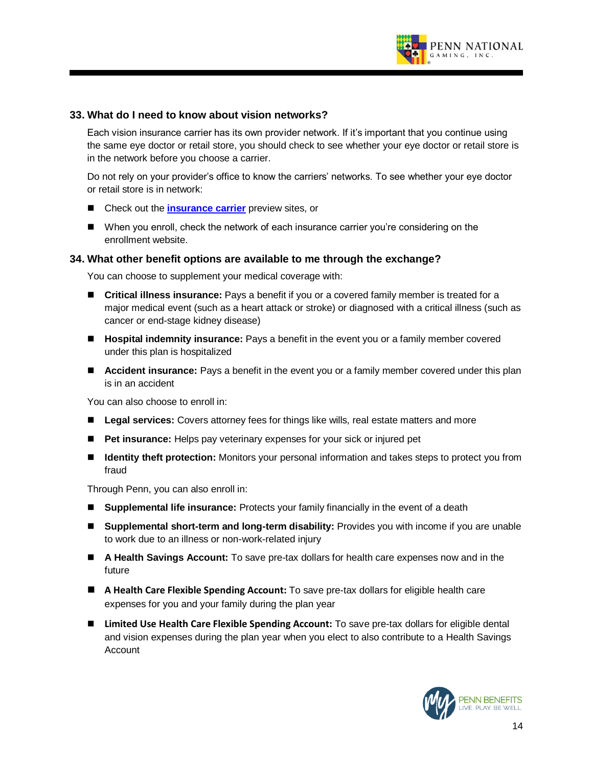

#### **33. What do I need to know about vision networks?**

Each vision insurance carrier has its own provider network. If it's important that you continue using the same eye doctor or retail store, you should check to see whether your eye doctor or retail store is in the network before you choose a carrier.

Do not rely on your provider's office to know the carriers' networks. To see whether your eye doctor or retail store is in network:

- Check out the **insurance carrier** preview sites, or
- When you enroll, check the network of each insurance carrier you're considering on the enrollment website.

#### **34. What other benefit options are available to me through the exchange?**

You can choose to supplement your medical coverage with:

- Critical illness insurance: Pays a benefit if you or a covered family member is treated for a major medical event (such as a heart attack or stroke) or diagnosed with a critical illness (such as cancer or end-stage kidney disease)
- **Hospital indemnity insurance:** Pays a benefit in the event you or a family member covered under this plan is hospitalized
- **Accident insurance:** Pays a benefit in the event you or a family member covered under this plan is in an accident

You can also choose to enroll in:

- Legal services: Covers attorney fees for things like wills, real estate matters and more
- **Pet insurance:** Helps pay veterinary expenses for your sick or injured pet
- **Identity theft protection:** Monitors your personal information and takes steps to protect you from fraud

Through Penn, you can also enroll in:

- **Supplemental life insurance:** Protects your family financially in the event of a death
- Supplemental short-term and long-term disability: Provides you with income if you are unable to work due to an illness or non-work-related injury
- A Health Savings Account: To save pre-tax dollars for health care expenses now and in the future
- A Health Care Flexible Spending Account: To save pre-tax dollars for eligible health care expenses for you and your family during the plan year
- Limited Use Health Care Flexible Spending Account: To save pre-tax dollars for eligible dental and vision expenses during the plan year when you elect to also contribute to a Health Savings **Account**

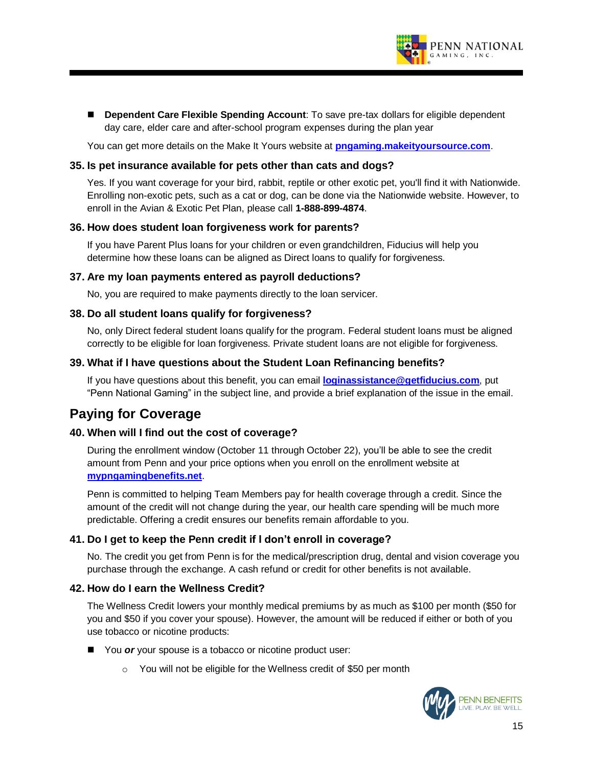

■ **Dependent Care Flexible Spending Account**: To save pre-tax dollars for eligible dependent day care, elder care and after-school program expenses during the plan year

You can get more details on the Make It Yours website at **pngaming.makeityoursource.com**.

#### **35. Is pet insurance available for pets other than cats and dogs?**

Yes. If you want coverage for your bird, rabbit, reptile or other exotic pet, you'll find it with Nationwide. Enrolling non-exotic pets, such as a cat or dog, can be done via the Nationwide website. However, to enroll in the Avian & Exotic Pet Plan, please call **1-888-899-4874**.

#### **36. How does student loan forgiveness work for parents?**

If you have Parent Plus loans for your children or even grandchildren, Fiducius will help you determine how these loans can be aligned as Direct loans to qualify for forgiveness.

#### **37. Are my loan payments entered as payroll deductions?**

No, you are required to make payments directly to the loan servicer.

#### **38. Do all student loans qualify for forgiveness?**

No, only Direct federal student loans qualify for the program. Federal student loans must be aligned correctly to be eligible for loan forgiveness. Private student loans are not eligible for forgiveness.

#### **39. What if I have questions about the Student Loan Refinancing benefits?**

If you have questions about this benefit, you can email **loginassistance@getfiducius.com**, put "Penn National Gaming" in the subject line, and provide a brief explanation of the issue in the email.

# **Paying for Coverage**

#### **40. When will I find out the cost of coverage?**

During the enrollment window (October 11 through October 22), you'll be able to see the credit amount from Penn and your price options when you enroll on the enrollment website at **mypngamingbenefits.net**.

Penn is committed to helping Team Members pay for health coverage through a credit. Since the amount of the credit will not change during the year, our health care spending will be much more predictable. Offering a credit ensures our benefits remain affordable to you.

#### **41. Do I get to keep the Penn credit if I don't enroll in coverage?**

No. The credit you get from Penn is for the medical/prescription drug, dental and vision coverage you purchase through the exchange. A cash refund or credit for other benefits is not available.

#### **42. How do I earn the Wellness Credit?**

The Wellness Credit lowers your monthly medical premiums by as much as \$100 per month (\$50 for you and \$50 if you cover your spouse). However, the amount will be reduced if either or both of you use tobacco or nicotine products:

- You *or* your spouse is a tobacco or nicotine product user:
	- o You will not be eligible for the Wellness credit of \$50 per month

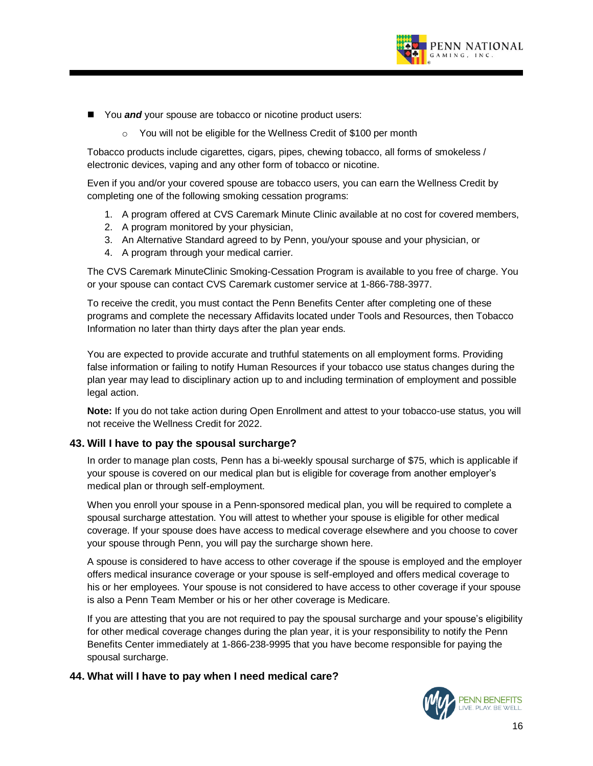

- You *and* your spouse are tobacco or nicotine product users:
	- o You will not be eligible for the Wellness Credit of \$100 per month

Tobacco products include cigarettes, cigars, pipes, chewing tobacco, all forms of smokeless / electronic devices, vaping and any other form of tobacco or nicotine.

Even if you and/or your covered spouse are tobacco users, you can earn the Wellness Credit by completing one of the following smoking cessation programs:

- 1. A program offered at CVS Caremark Minute Clinic available at no cost for covered members,
- 2. A program monitored by your physician,
- 3. An Alternative Standard agreed to by Penn, you/your spouse and your physician, or
- 4. A program through your medical carrier.

The CVS Caremark MinuteClinic Smoking-Cessation Program is available to you free of charge. You or your spouse can contact CVS Caremark customer service at 1-866-788-3977.

To receive the credit, you must contact the Penn Benefits Center after completing one of these programs and complete the necessary Affidavits located under Tools and Resources, then Tobacco Information no later than thirty days after the plan year ends.

You are expected to provide accurate and truthful statements on all employment forms. Providing false information or failing to notify Human Resources if your tobacco use status changes during the plan year may lead to disciplinary action up to and including termination of employment and possible legal action.

**Note:** If you do not take action during Open Enrollment and attest to your tobacco-use status, you will not receive the Wellness Credit for 2022.

#### **43. Will I have to pay the spousal surcharge?**

In order to manage plan costs, Penn has a bi-weekly spousal surcharge of \$75, which is applicable if your spouse is covered on our medical plan but is eligible for coverage from another employer's medical plan or through self-employment.

When you enroll your spouse in a Penn-sponsored medical plan, you will be required to complete a spousal surcharge attestation. You will attest to whether your spouse is eligible for other medical coverage. If your spouse does have access to medical coverage elsewhere and you choose to cover your spouse through Penn, you will pay the surcharge shown here.

A spouse is considered to have access to other coverage if the spouse is employed and the employer offers medical insurance coverage or your spouse is self-employed and offers medical coverage to his or her employees. Your spouse is not considered to have access to other coverage if your spouse is also a Penn Team Member or his or her other coverage is Medicare.

If you are attesting that you are not required to pay the spousal surcharge and your spouse's eligibility for other medical coverage changes during the plan year, it is your responsibility to notify the Penn Benefits Center immediately at 1-866-238-9995 that you have become responsible for paying the spousal surcharge.

#### **44. What will I have to pay when I need medical care?**

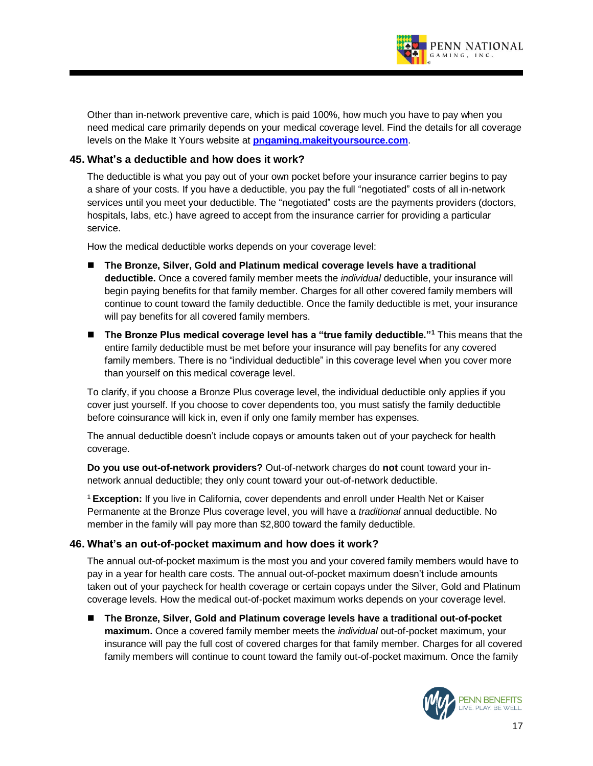

Other than in-network preventive care, which is paid 100%, how much you have to pay when you need medical care primarily depends on your medical coverage level. Find the details for all coverage levels on the Make It Yours website at **pngaming.makeityoursource.com**.

# **45. What's a deductible and how does it work?**

The deductible is what you pay out of your own pocket before your insurance carrier begins to pay a share of your costs. If you have a deductible, you pay the full "negotiated" costs of all in-network services until you meet your deductible. The "negotiated" costs are the payments providers (doctors, hospitals, labs, etc.) have agreed to accept from the insurance carrier for providing a particular service.

How the medical deductible works depends on your coverage level:

- The Bronze, Silver, Gold and Platinum medical coverage levels have a traditional **deductible.** Once a covered family member meets the *individual* deductible, your insurance will begin paying benefits for that family member. Charges for all other covered family members will continue to count toward the family deductible. Once the family deductible is met, your insurance will pay benefits for all covered family members.
- The Bronze Plus medical coverage level has a "true family deductible."<sup>1</sup> This means that the entire family deductible must be met before your insurance will pay benefits for any covered family members. There is no "individual deductible" in this coverage level when you cover more than yourself on this medical coverage level.

To clarify, if you choose a Bronze Plus coverage level, the individual deductible only applies if you cover just yourself. If you choose to cover dependents too, you must satisfy the family deductible before coinsurance will kick in, even if only one family member has expenses.

The annual deductible doesn't include copays or amounts taken out of your paycheck for health coverage.

**Do you use out-of-network providers?** Out-of-network charges do **not** count toward your innetwork annual deductible; they only count toward your out-of-network deductible.

<sup>1</sup> **Exception:** If you live in California, cover dependents and enroll under Health Net or Kaiser Permanente at the Bronze Plus coverage level, you will have a *traditional* annual deductible. No member in the family will pay more than \$2,800 toward the family deductible.

#### **46. What's an out-of-pocket maximum and how does it work?**

The annual out-of-pocket maximum is the most you and your covered family members would have to pay in a year for health care costs. The annual out-of-pocket maximum doesn't include amounts taken out of your paycheck for health coverage or certain copays under the Silver, Gold and Platinum coverage levels. How the medical out-of-pocket maximum works depends on your coverage level.

◼ **The Bronze, Silver, Gold and Platinum coverage levels have a traditional out-of-pocket maximum.** Once a covered family member meets the *individual* out-of-pocket maximum, your insurance will pay the full cost of covered charges for that family member. Charges for all covered family members will continue to count toward the family out-of-pocket maximum. Once the family

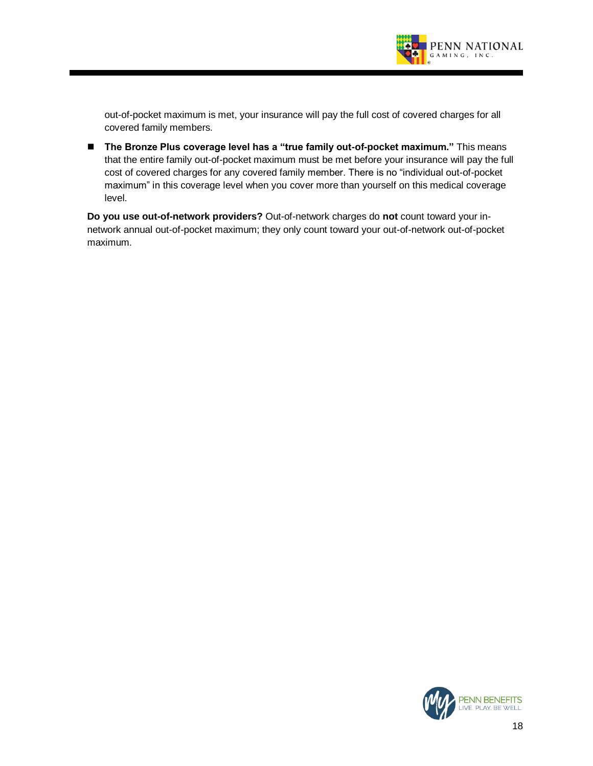

out-of-pocket maximum is met, your insurance will pay the full cost of covered charges for all covered family members.

■ The Bronze Plus coverage level has a "true family out-of-pocket maximum." This means that the entire family out-of-pocket maximum must be met before your insurance will pay the full cost of covered charges for any covered family member. There is no "individual out-of-pocket maximum" in this coverage level when you cover more than yourself on this medical coverage level.

**Do you use out-of-network providers?** Out-of-network charges do **not** count toward your innetwork annual out-of-pocket maximum; they only count toward your out-of-network out-of-pocket maximum.

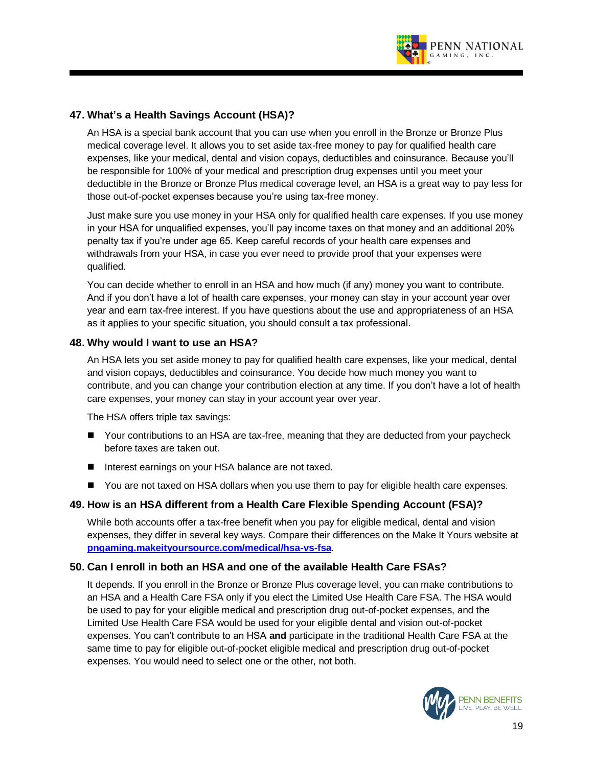

# **47. What's a Health Savings Account (HSA)?**

An HSA is a special bank account that you can use when you enroll in the Bronze or Bronze Plus medical coverage level. It allows you to set aside tax-free money to pay for qualified health care expenses, like your medical, dental and vision copays, deductibles and coinsurance. Because you'll be responsible for 100% of your medical and prescription drug expenses until you meet your deductible in the Bronze or Bronze Plus medical coverage level, an HSA is a great way to pay less for those out-of-pocket expenses because you're using tax-free money.

Just make sure you use money in your HSA only for qualified health care expenses. If you use money in your HSA for unqualified expenses, you'll pay income taxes on that money and an additional 20% penalty tax if you're under age 65. Keep careful records of your health care expenses and withdrawals from your HSA, in case you ever need to provide proof that your expenses were qualified.

You can decide whether to enroll in an HSA and how much (if any) money you want to contribute. And if you don't have a lot of health care expenses, your money can stay in your account year over year and earn tax-free interest. If you have questions about the use and appropriateness of an HSA as it applies to your specific situation, you should consult a tax professional.

# **48. Why would I want to use an HSA?**

An HSA lets you set aside money to pay for qualified health care expenses, like your medical, dental and vision copays, deductibles and coinsurance. You decide how much money you want to contribute, and you can change your contribution election at any time. If you don't have a lot of health care expenses, your money can stay in your account year over year.

The HSA offers triple tax savings:

- Your contributions to an HSA are tax-free, meaning that they are deducted from your paycheck before taxes are taken out.
- Interest earnings on your HSA balance are not taxed.
- You are not taxed on HSA dollars when you use them to pay for eligible health care expenses.

#### **49. How is an HSA different from a Health Care Flexible Spending Account (FSA)?**

While both accounts offer a tax-free benefit when you pay for eligible medical, dental and vision expenses, they differ in several key ways. Compare their differences on the Make It Yours website at **pngaming.makeityoursource.com/medical/hsa-vs-fsa**.

#### **50. Can I enroll in both an HSA and one of the available Health Care FSAs?**

It depends. If you enroll in the Bronze or Bronze Plus coverage level, you can make contributions to an HSA and a Health Care FSA only if you elect the Limited Use Health Care FSA. The HSA would be used to pay for your eligible medical and prescription drug out-of-pocket expenses, and the Limited Use Health Care FSA would be used for your eligible dental and vision out-of-pocket expenses. You can't contribute to an HSA **and** participate in the traditional Health Care FSA at the same time to pay for eligible out-of-pocket eligible medical and prescription drug out-of-pocket expenses. You would need to select one or the other, not both.